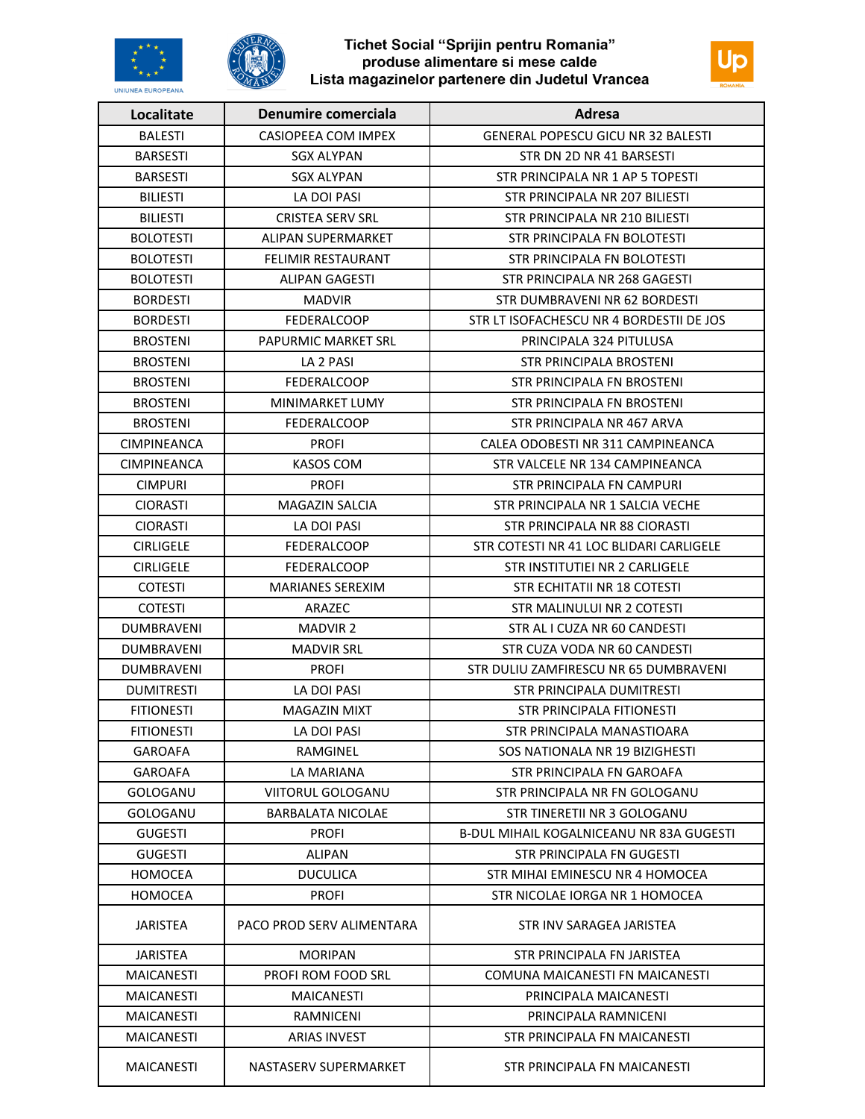

# Tichet Social "Sprijin pentru Romania"<br>produse alimentare si mese calde<br>Lista magazinelor partenere din Judetul Vrancea



| Localitate         | Denumire comerciala        | Adresa                                          |
|--------------------|----------------------------|-------------------------------------------------|
| <b>BALESTI</b>     | CASIOPEEA COM IMPEX        | <b>GENERAL POPESCU GICU NR 32 BALESTI</b>       |
| <b>BARSESTI</b>    | <b>SGX ALYPAN</b>          | STR DN 2D NR 41 BARSESTI                        |
| <b>BARSESTI</b>    | <b>SGX ALYPAN</b>          | STR PRINCIPALA NR 1 AP 5 TOPESTI                |
| <b>BILIESTI</b>    | LA DOI PASI                | STR PRINCIPALA NR 207 BILIESTI                  |
| <b>BILIESTI</b>    | <b>CRISTEA SERV SRL</b>    | STR PRINCIPALA NR 210 BILIESTI                  |
| <b>BOLOTESTI</b>   | ALIPAN SUPERMARKET         | STR PRINCIPALA FN BOLOTESTI                     |
| <b>BOLOTESTI</b>   | <b>FELIMIR RESTAURANT</b>  | STR PRINCIPALA FN BOLOTESTI                     |
| <b>BOLOTESTI</b>   | ALIPAN GAGESTI             | STR PRINCIPALA NR 268 GAGESTI                   |
| <b>BORDESTI</b>    | <b>MADVIR</b>              | STR DUMBRAVENI NR 62 BORDESTI                   |
| <b>BORDESTI</b>    | <b>FEDERALCOOP</b>         | STR LT ISOFACHESCU NR 4 BORDESTII DE JOS        |
| <b>BROSTENI</b>    | <b>PAPURMIC MARKET SRL</b> | PRINCIPALA 324 PITULUSA                         |
| <b>BROSTENI</b>    | LA 2 PASI                  | STR PRINCIPALA BROSTENI                         |
| <b>BROSTENI</b>    | <b>FEDERALCOOP</b>         | STR PRINCIPALA FN BROSTENI                      |
| <b>BROSTENI</b>    | MINIMARKET LUMY            | STR PRINCIPALA FN BROSTENI                      |
| <b>BROSTENI</b>    | <b>FEDERALCOOP</b>         | STR PRINCIPALA NR 467 ARVA                      |
| <b>CIMPINEANCA</b> | <b>PROFI</b>               | CALEA ODOBESTI NR 311 CAMPINEANCA               |
| <b>CIMPINEANCA</b> | <b>KASOS COM</b>           | STR VALCELE NR 134 CAMPINEANCA                  |
| <b>CIMPURI</b>     | <b>PROFI</b>               | STR PRINCIPALA FN CAMPURI                       |
| <b>CIORASTI</b>    | <b>MAGAZIN SALCIA</b>      | STR PRINCIPALA NR 1 SALCIA VECHE                |
| <b>CIORASTI</b>    | LA DOI PASI                | STR PRINCIPALA NR 88 CIORASTI                   |
| <b>CIRLIGELE</b>   | <b>FEDERALCOOP</b>         | STR COTESTI NR 41 LOC BLIDARI CARLIGELE         |
| <b>CIRLIGELE</b>   | <b>FEDERALCOOP</b>         | STR INSTITUTIEI NR 2 CARLIGELE                  |
| <b>COTESTI</b>     | <b>MARIANES SEREXIM</b>    | STR ECHITATII NR 18 COTESTI                     |
| <b>COTESTI</b>     | ARAZEC                     | STR MALINULUI NR 2 COTESTI                      |
| DUMBRAVENI         | <b>MADVIR 2</b>            | STR AL I CUZA NR 60 CANDESTI                    |
| <b>DUMBRAVENI</b>  | <b>MADVIR SRL</b>          | STR CUZA VODA NR 60 CANDESTI                    |
| <b>DUMBRAVENI</b>  | <b>PROFI</b>               | STR DULIU ZAMFIRESCU NR 65 DUMBRAVENI           |
| <b>DUMITRESTI</b>  | LA DOI PASI                | <b>STR PRINCIPALA DUMITRESTI</b>                |
| <b>FITIONESTI</b>  | <b>MAGAZIN MIXT</b>        | STR PRINCIPALA FITIONESTI                       |
| <b>FITIONESTI</b>  | LA DOI PASI                | STR PRINCIPALA MANASTIOARA                      |
| GAROAFA            | RAMGINEL                   | SOS NATIONALA NR 19 BIZIGHESTI                  |
| <b>GAROAFA</b>     | LA MARIANA                 | STR PRINCIPALA FN GAROAFA                       |
| GOLOGANU           | VIITORUL GOLOGANU          | STR PRINCIPALA NR FN GOLOGANU                   |
| GOLOGANU           | BARBALATA NICOLAE          | STR TINERETII NR 3 GOLOGANU                     |
| <b>GUGESTI</b>     | <b>PROFI</b>               | <b>B-DUL MIHAIL KOGALNICEANU NR 83A GUGESTI</b> |
| <b>GUGESTI</b>     | <b>ALIPAN</b>              | STR PRINCIPALA FN GUGESTI                       |
| <b>HOMOCEA</b>     | <b>DUCULICA</b>            | STR MIHAI EMINESCU NR 4 HOMOCEA                 |
| <b>HOMOCEA</b>     | <b>PROFI</b>               | STR NICOLAE IORGA NR 1 HOMOCEA                  |
| <b>JARISTEA</b>    | PACO PROD SERV ALIMENTARA  | STR INV SARAGEA JARISTEA                        |
| <b>JARISTEA</b>    | MORIPAN                    | STR PRINCIPALA FN JARISTEA                      |
| <b>MAICANESTI</b>  | <b>PROFI ROM FOOD SRL</b>  | COMUNA MAICANESTI FN MAICANESTI                 |
| <b>MAICANESTI</b>  | MAICANESTI                 | PRINCIPALA MAICANESTI                           |
| MAICANESTI         | RAMNICENI                  | PRINCIPALA RAMNICENI                            |
| <b>MAICANESTI</b>  | <b>ARIAS INVEST</b>        | STR PRINCIPALA FN MAICANESTI                    |
| <b>MAICANESTI</b>  | NASTASERV SUPERMARKET      | STR PRINCIPALA FN MAICANESTI                    |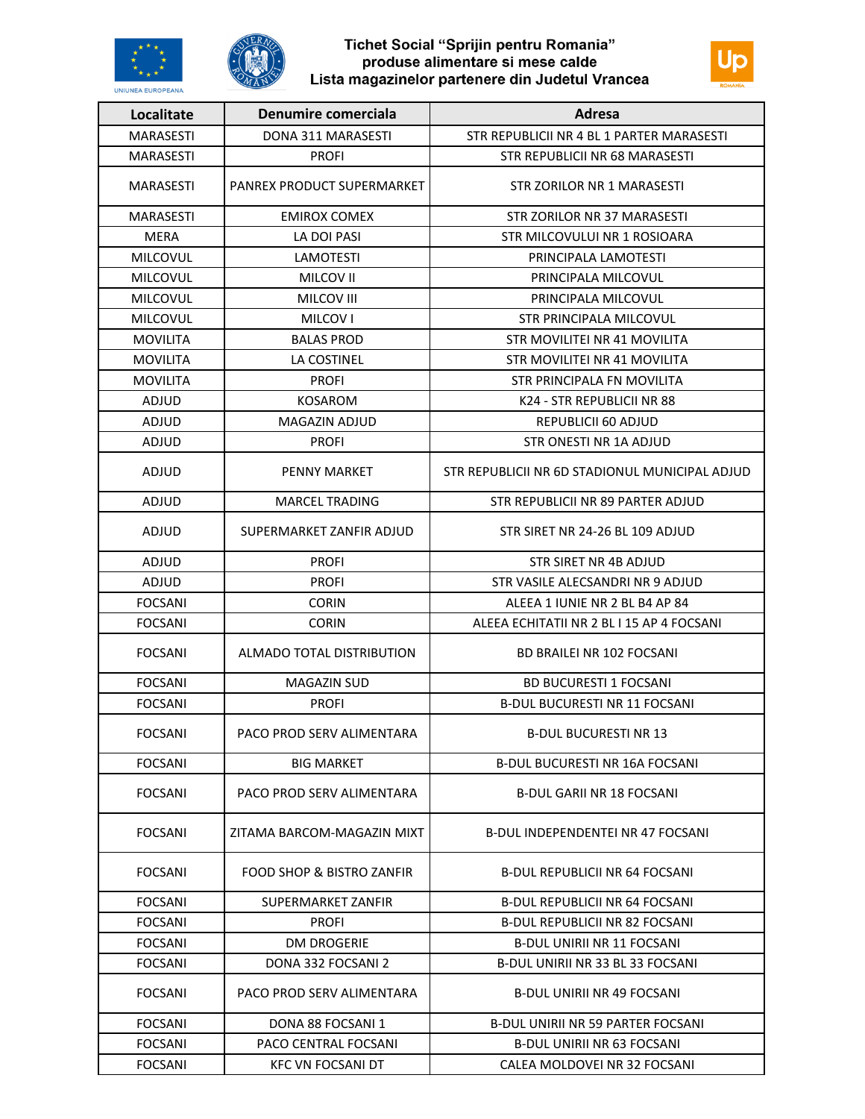



### Tichet Social "Sprijin pentru Romania" produse alimentare si mese calde Lista magazinelor partenere din Judetul Vrancea



| Localitate       | Denumire comerciala        | Adresa                                         |
|------------------|----------------------------|------------------------------------------------|
| <b>MARASESTI</b> | DONA 311 MARASESTI         | STR REPUBLICII NR 4 BL 1 PARTER MARASESTI      |
| <b>MARASESTI</b> | <b>PROFI</b>               | STR REPUBLICII NR 68 MARASESTI                 |
| <b>MARASESTI</b> | PANREX PRODUCT SUPERMARKET | STR ZORILOR NR 1 MARASESTI                     |
| <b>MARASESTI</b> | <b>EMIROX COMEX</b>        | <b>STR ZORILOR NR 37 MARASESTI</b>             |
| <b>MERA</b>      | LA DOI PASI                | STR MILCOVULUI NR 1 ROSIOARA                   |
| <b>MILCOVUL</b>  | <b>LAMOTESTI</b>           | PRINCIPALA LAMOTESTI                           |
| <b>MILCOVUL</b>  | MILCOV II                  | PRINCIPALA MILCOVUL                            |
| <b>MILCOVUL</b>  | MILCOV III                 | PRINCIPALA MILCOVUL                            |
| <b>MILCOVUL</b>  | <b>MILCOV I</b>            | STR PRINCIPALA MILCOVUL                        |
| <b>MOVILITA</b>  | <b>BALAS PROD</b>          | STR MOVILITEI NR 41 MOVILITA                   |
| <b>MOVILITA</b>  | LA COSTINEL                | STR MOVILITEI NR 41 MOVILITA                   |
| <b>MOVILITA</b>  | <b>PROFI</b>               | STR PRINCIPALA FN MOVILITA                     |
| ADJUD            | <b>KOSAROM</b>             | K24 - STR REPUBLICII NR 88                     |
| ADJUD            | <b>MAGAZIN ADJUD</b>       | REPUBLICII 60 ADJUD                            |
| ADJUD            | <b>PROFI</b>               | STR ONESTI NR 1A ADJUD                         |
| ADJUD            | <b>PENNY MARKET</b>        | STR REPUBLICII NR 6D STADIONUL MUNICIPAL ADJUD |
| ADJUD            | <b>MARCEL TRADING</b>      | STR REPUBLICII NR 89 PARTER ADJUD              |
| ADJUD            | SUPERMARKET ZANFIR ADJUD   | STR SIRET NR 24-26 BL 109 ADJUD                |
| ADJUD            | <b>PROFI</b>               | STR SIRET NR 4B ADJUD                          |
| ADJUD            | <b>PROFI</b>               | STR VASILE ALECSANDRI NR 9 ADJUD               |
| <b>FOCSANI</b>   | <b>CORIN</b>               | ALEEA 1 IUNIE NR 2 BL B4 AP 84                 |
| <b>FOCSANI</b>   | <b>CORIN</b>               | ALEEA ECHITATII NR 2 BL I 15 AP 4 FOCSANI      |
| <b>FOCSANI</b>   | ALMADO TOTAL DISTRIBUTION  | <b>BD BRAILEI NR 102 FOCSANI</b>               |
| <b>FOCSANI</b>   | <b>MAGAZIN SUD</b>         | <b>BD BUCURESTI 1 FOCSANI</b>                  |
| <b>FOCSANI</b>   | <b>PROFI</b>               | <b>B-DUL BUCURESTI NR 11 FOCSANI</b>           |
| <b>FOCSANI</b>   | PACO PROD SERV ALIMENTARA  | <b>B-DUL BUCURESTI NR 13</b>                   |
| <b>FOCSANI</b>   | <b>BIG MARKET</b>          | <b>B-DUL BUCURESTI NR 16A FOCSANI</b>          |
| <b>FOCSANI</b>   | PACO PROD SERV ALIMENTARA  | <b>B-DUL GARII NR 18 FOCSANI</b>               |
| <b>FOCSANI</b>   | ZITAMA BARCOM-MAGAZIN MIXT | B-DUL INDEPENDENTEI NR 47 FOCSANI              |
| <b>FOCSANI</b>   | FOOD SHOP & BISTRO ZANFIR  | B-DUL REPUBLICII NR 64 FOCSANI                 |
| <b>FOCSANI</b>   | SUPERMARKET ZANFIR         | <b>B-DUL REPUBLICII NR 64 FOCSANI</b>          |
| <b>FOCSANI</b>   | <b>PROFI</b>               | B-DUL REPUBLICII NR 82 FOCSANI                 |
| <b>FOCSANI</b>   | <b>DM DROGERIE</b>         | <b>B-DUL UNIRII NR 11 FOCSANI</b>              |
| <b>FOCSANI</b>   | DONA 332 FOCSANI 2         | <b>B-DUL UNIRII NR 33 BL 33 FOCSANI</b>        |
| <b>FOCSANI</b>   | PACO PROD SERV ALIMENTARA  | <b>B-DUL UNIRII NR 49 FOCSANI</b>              |
| <b>FOCSANI</b>   | DONA 88 FOCSANI 1          | <b>B-DUL UNIRII NR 59 PARTER FOCSANI</b>       |
| <b>FOCSANI</b>   | PACO CENTRAL FOCSANI       | B-DUL UNIRII NR 63 FOCSANI                     |
| <b>FOCSANI</b>   | <b>KFC VN FOCSANI DT</b>   | CALEA MOLDOVEI NR 32 FOCSANI                   |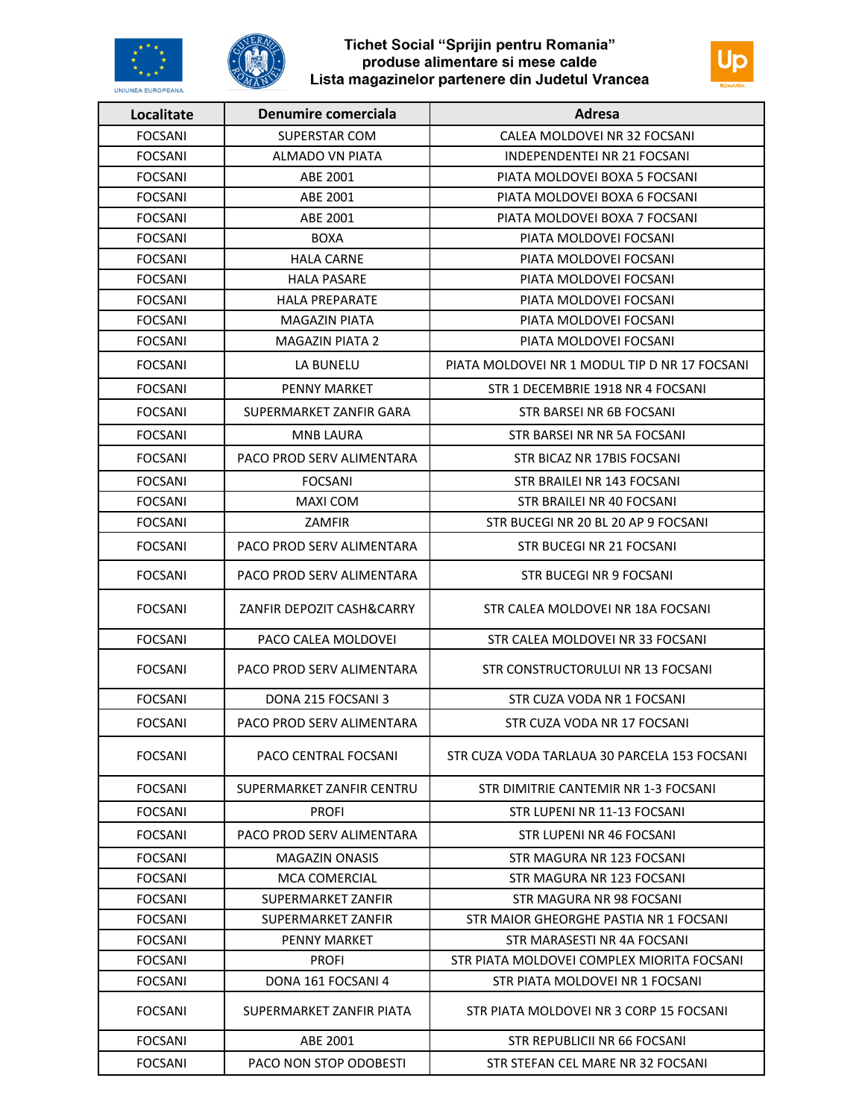

### Tichet Social "Sprijin pentru Romania" produse alimentare si mese calde Lista magazinelor partenere din Judetul Vrancea



| Localitate     | Denumire comerciala       | Adresa                                        |
|----------------|---------------------------|-----------------------------------------------|
| <b>FOCSANI</b> | SUPERSTAR COM             | CALEA MOLDOVEI NR 32 FOCSANI                  |
| <b>FOCSANI</b> | ALMADO VN PIATA           | <b>INDEPENDENTEI NR 21 FOCSANI</b>            |
| <b>FOCSANI</b> | ABE 2001                  | PIATA MOLDOVEI BOXA 5 FOCSANI                 |
| <b>FOCSANI</b> | ABE 2001                  | PIATA MOLDOVEI BOXA 6 FOCSANI                 |
| <b>FOCSANI</b> | ABE 2001                  | PIATA MOLDOVEI BOXA 7 FOCSANI                 |
| <b>FOCSANI</b> | <b>BOXA</b>               | PIATA MOLDOVEI FOCSANI                        |
| <b>FOCSANI</b> | <b>HALA CARNE</b>         | PIATA MOLDOVEI FOCSANI                        |
| <b>FOCSANI</b> | <b>HALA PASARE</b>        | PIATA MOLDOVEI FOCSANI                        |
| <b>FOCSANI</b> | <b>HALA PREPARATE</b>     | PIATA MOLDOVEI FOCSANI                        |
| <b>FOCSANI</b> | <b>MAGAZIN PIATA</b>      | PIATA MOLDOVEI FOCSANI                        |
| <b>FOCSANI</b> | <b>MAGAZIN PIATA 2</b>    | PIATA MOLDOVEI FOCSANI                        |
| <b>FOCSANI</b> | LA BUNELU                 | PIATA MOLDOVEI NR 1 MODUL TIP D NR 17 FOCSANI |
| <b>FOCSANI</b> | <b>PENNY MARKET</b>       | STR 1 DECEMBRIE 1918 NR 4 FOCSANI             |
| <b>FOCSANI</b> | SUPERMARKET ZANFIR GARA   | STR BARSEI NR 6B FOCSANI                      |
| <b>FOCSANI</b> | <b>MNB LAURA</b>          | STR BARSEI NR NR 5A FOCSANI                   |
| <b>FOCSANI</b> | PACO PROD SERV ALIMENTARA | STR BICAZ NR 17BIS FOCSANI                    |
| <b>FOCSANI</b> | <b>FOCSANI</b>            | STR BRAILEI NR 143 FOCSANI                    |
| <b>FOCSANI</b> | <b>MAXI COM</b>           | STR BRAILEI NR 40 FOCSANI                     |
| <b>FOCSANI</b> | <b>ZAMFIR</b>             | STR BUCEGI NR 20 BL 20 AP 9 FOCSANI           |
| <b>FOCSANI</b> | PACO PROD SERV ALIMENTARA | STR BUCEGI NR 21 FOCSANI                      |
| <b>FOCSANI</b> | PACO PROD SERV ALIMENTARA | STR BUCEGI NR 9 FOCSANI                       |
| <b>FOCSANI</b> | ZANFIR DEPOZIT CASH&CARRY | STR CALEA MOLDOVEI NR 18A FOCSANI             |
| <b>FOCSANI</b> | PACO CALEA MOLDOVEI       | STR CALEA MOLDOVEI NR 33 FOCSANI              |
| <b>FOCSANI</b> | PACO PROD SERV ALIMENTARA | STR CONSTRUCTORULUI NR 13 FOCSANI             |
| <b>FOCSANI</b> | DONA 215 FOCSANI 3        | STR CUZA VODA NR 1 FOCSANI                    |
| <b>FOCSANI</b> | PACO PROD SERV ALIMENTARA | STR CUZA VODA NR 17 FOCSANI                   |
| <b>FOCSANI</b> | PACO CENTRAL FOCSANI      | STR CUZA VODA TARLAUA 30 PARCELA 153 FOCSANI  |
| <b>FOCSANI</b> | SUPERMARKET ZANFIR CENTRU | STR DIMITRIE CANTEMIR NR 1-3 FOCSANI          |
| <b>FOCSANI</b> | <b>PROFI</b>              | STR LUPENI NR 11-13 FOCSANI                   |
| FOCSANI        | PACO PROD SERV ALIMENTARA | STR LUPENI NR 46 FOCSANI                      |
| FOCSANI        | <b>MAGAZIN ONASIS</b>     | STR MAGURA NR 123 FOCSANI                     |
| <b>FOCSANI</b> | <b>MCA COMERCIAL</b>      | STR MAGURA NR 123 FOCSANI                     |
| <b>FOCSANI</b> | SUPERMARKET ZANFIR        | STR MAGURA NR 98 FOCSANI                      |
| <b>FOCSANI</b> | SUPERMARKET ZANFIR        | STR MAIOR GHEORGHE PASTIA NR 1 FOCSANI        |
| <b>FOCSANI</b> | PENNY MARKET              | STR MARASESTI NR 4A FOCSANI                   |
| FOCSANI        | <b>PROFI</b>              | STR PIATA MOLDOVEI COMPLEX MIORITA FOCSANI    |
| <b>FOCSANI</b> | DONA 161 FOCSANI 4        | STR PIATA MOLDOVEI NR 1 FOCSANI               |
| <b>FOCSANI</b> | SUPERMARKET ZANFIR PIATA  | STR PIATA MOLDOVEI NR 3 CORP 15 FOCSANI       |
| <b>FOCSANI</b> | ABE 2001                  | STR REPUBLICII NR 66 FOCSANI                  |
| <b>FOCSANI</b> | PACO NON STOP ODOBESTI    | STR STEFAN CEL MARE NR 32 FOCSANI             |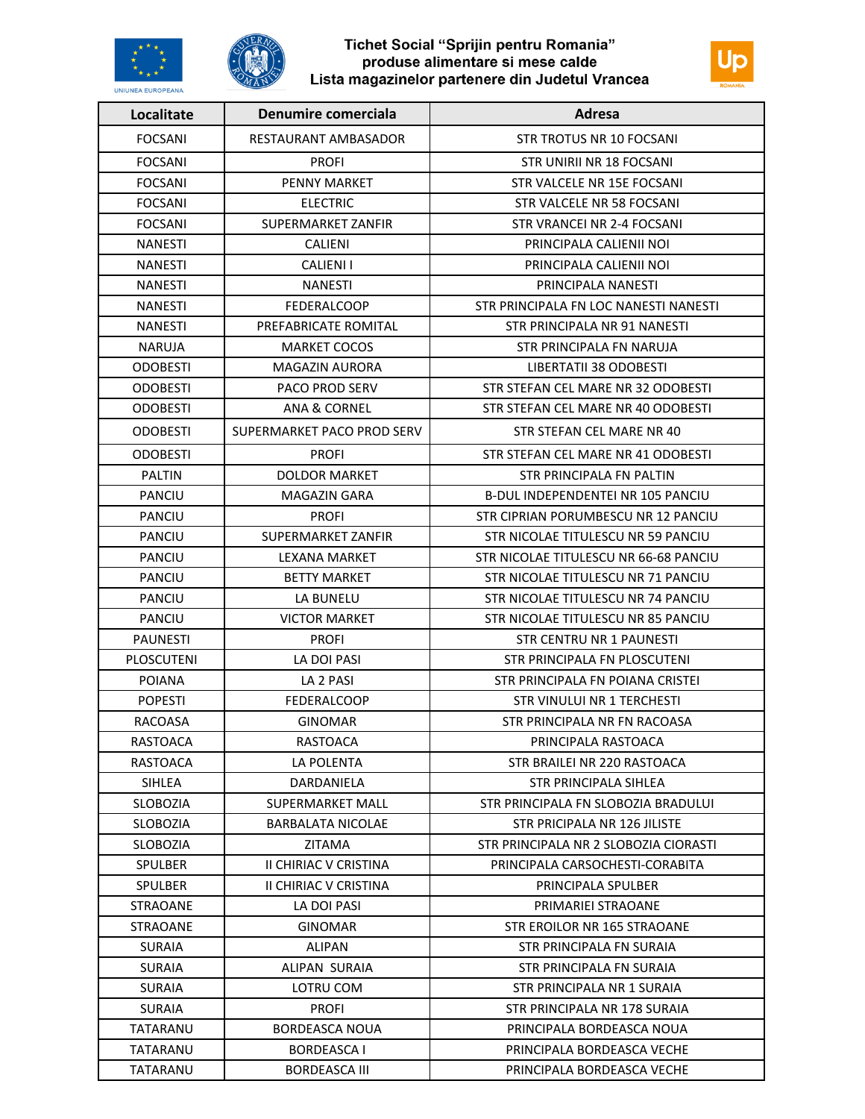

## Tichet Social "Sprijin pentru Romania" produse alimentare si mese calde<br>Lista magazinelor partenere din Judetul Vrancea



| Localitate      | Denumire comerciala          | Adresa                                   |
|-----------------|------------------------------|------------------------------------------|
| <b>FOCSANI</b>  | RESTAURANT AMBASADOR         | <b>STR TROTUS NR 10 FOCSANI</b>          |
| <b>FOCSANI</b>  | <b>PROFI</b>                 | STR UNIRII NR 18 FOCSANI                 |
| <b>FOCSANI</b>  | <b>PENNY MARKET</b>          | STR VALCELE NR 15E FOCSANI               |
| <b>FOCSANI</b>  | <b>ELECTRIC</b>              | STR VALCELE NR 58 FOCSANI                |
| <b>FOCSANI</b>  | SUPERMARKET ZANFIR           | STR VRANCEI NR 2-4 FOCSANI               |
| <b>NANESTI</b>  | CALIENI                      | PRINCIPALA CALIENII NOI                  |
| <b>NANESTI</b>  | <b>CALIENI I</b>             | PRINCIPALA CALIENII NOI                  |
| <b>NANESTI</b>  | <b>NANESTI</b>               | PRINCIPALA NANESTI                       |
| <b>NANESTI</b>  | <b>FEDERALCOOP</b>           | STR PRINCIPALA FN LOC NANESTI NANESTI    |
| NANESTI         | PREFABRICATE ROMITAL         | STR PRINCIPALA NR 91 NANESTI             |
| <b>NARUJA</b>   | <b>MARKET COCOS</b>          | STR PRINCIPALA FN NARUJA                 |
| <b>ODOBESTI</b> | <b>MAGAZIN AURORA</b>        | LIBERTATII 38 ODOBESTI                   |
| <b>ODOBESTI</b> | <b>PACO PROD SERV</b>        | STR STEFAN CEL MARE NR 32 ODOBESTI       |
| <b>ODOBESTI</b> | ANA & CORNEL                 | STR STEFAN CEL MARE NR 40 ODOBESTI       |
| <b>ODOBESTI</b> | SUPERMARKET PACO PROD SERV   | STR STEFAN CEL MARE NR 40                |
| <b>ODOBESTI</b> | <b>PROFI</b>                 | STR STEFAN CEL MARE NR 41 ODOBESTI       |
| <b>PALTIN</b>   | <b>DOLDOR MARKET</b>         | STR PRINCIPALA FN PALTIN                 |
| <b>PANCIU</b>   | MAGAZIN GARA                 | <b>B-DUL INDEPENDENTEI NR 105 PANCIU</b> |
| <b>PANCIU</b>   | <b>PROFI</b>                 | STR CIPRIAN PORUMBESCU NR 12 PANCIU      |
| <b>PANCIU</b>   | SUPERMARKET ZANFIR           | STR NICOLAE TITULESCU NR 59 PANCIU       |
| <b>PANCIU</b>   | LEXANA MARKET                | STR NICOLAE TITULESCU NR 66-68 PANCIU    |
| <b>PANCIU</b>   | <b>BETTY MARKET</b>          | STR NICOLAE TITULESCU NR 71 PANCIU       |
| <b>PANCIU</b>   | LA BUNELU                    | STR NICOLAE TITULESCU NR 74 PANCIU       |
| <b>PANCIU</b>   | <b>VICTOR MARKET</b>         | STR NICOLAE TITULESCU NR 85 PANCIU       |
| <b>PAUNESTI</b> | <b>PROFI</b>                 | STR CENTRU NR 1 PAUNESTI                 |
| PLOSCUTENI      | LA DOI PASI                  | STR PRINCIPALA FN PLOSCUTENI             |
| <b>POIANA</b>   | LA 2 PASI                    | STR PRINCIPALA FN POIANA CRISTEI         |
| <b>POPESTI</b>  | FEDERALCOOP                  | STR VINULUI NR 1 TERCHESTI               |
| <b>RACOASA</b>  | GINOMAR                      | STR PRINCIPALA NR FN RACOASA             |
| RASTOACA        | RASTOACA                     | PRINCIPALA RASTOACA                      |
| RASTOACA        | LA POLENTA                   | STR BRAILEI NR 220 RASTOACA              |
| SIHLEA          | DARDANIELA                   | STR PRINCIPALA SIHLEA                    |
| <b>SLOBOZIA</b> | SUPERMARKET MALL             | STR PRINCIPALA FN SLOBOZIA BRADULUI      |
| SLOBOZIA        | BARBALATA NICOLAE            | STR PRICIPALA NR 126 JILISTE             |
| <b>SLOBOZIA</b> | ZITAMA                       | STR PRINCIPALA NR 2 SLOBOZIA CIORASTI    |
| <b>SPULBER</b>  | <b>II CHIRIAC V CRISTINA</b> | PRINCIPALA CARSOCHESTI-CORABITA          |
| SPULBER         | II CHIRIAC V CRISTINA        | PRINCIPALA SPULBER                       |
| <b>STRAOANE</b> | LA DOI PASI                  | PRIMARIEI STRAOANE                       |
| STRAOANE        | GINOMAR                      | STR EROILOR NR 165 STRAOANE              |
| <b>SURAIA</b>   | <b>ALIPAN</b>                | STR PRINCIPALA FN SURAIA                 |
| <b>SURAIA</b>   | ALIPAN SURAIA                | STR PRINCIPALA FN SURAIA                 |
| <b>SURAIA</b>   | LOTRU COM                    | STR PRINCIPALA NR 1 SURAIA               |
| <b>SURAIA</b>   | <b>PROFI</b>                 | STR PRINCIPALA NR 178 SURAIA             |
| TATARANU        | BORDEASCA NOUA               | PRINCIPALA BORDEASCA NOUA                |
| TATARANU        | <b>BORDEASCAI</b>            | PRINCIPALA BORDEASCA VECHE               |
| TATARANU        | <b>BORDEASCA III</b>         | PRINCIPALA BORDEASCA VECHE               |